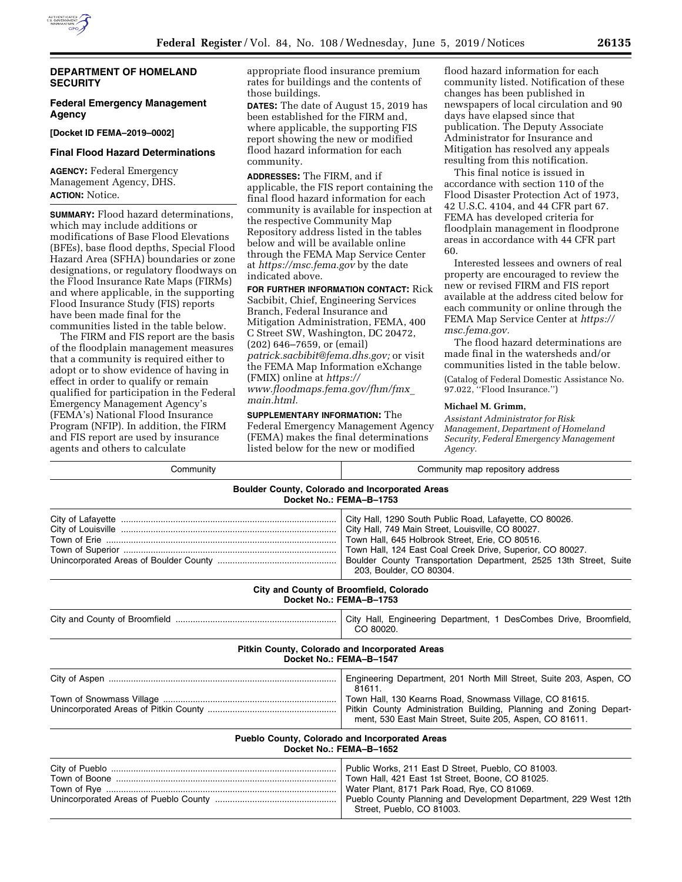

## **DEPARTMENT OF HOMELAND SECURITY**

## **Federal Emergency Management Agency**

**[Docket ID FEMA–2019–0002]** 

# **Final Flood Hazard Determinations**

**AGENCY:** Federal Emergency Management Agency, DHS. **ACTION:** Notice.

**SUMMARY:** Flood hazard determinations, which may include additions or modifications of Base Flood Elevations (BFEs), base flood depths, Special Flood Hazard Area (SFHA) boundaries or zone designations, or regulatory floodways on the Flood Insurance Rate Maps (FIRMs) and where applicable, in the supporting Flood Insurance Study (FIS) reports have been made final for the communities listed in the table below.

The FIRM and FIS report are the basis of the floodplain management measures that a community is required either to adopt or to show evidence of having in effect in order to qualify or remain qualified for participation in the Federal Emergency Management Agency's (FEMA's) National Flood Insurance Program (NFIP). In addition, the FIRM and FIS report are used by insurance agents and others to calculate

appropriate flood insurance premium rates for buildings and the contents of those buildings.

**DATES:** The date of August 15, 2019 has been established for the FIRM and, where applicable, the supporting FIS report showing the new or modified flood hazard information for each community.

**ADDRESSES:** The FIRM, and if applicable, the FIS report containing the final flood hazard information for each community is available for inspection at the respective Community Map Repository address listed in the tables below and will be available online through the FEMA Map Service Center at *<https://msc.fema.gov>*by the date indicated above.

**FOR FURTHER INFORMATION CONTACT:** Rick Sacbibit, Chief, Engineering Services Branch, Federal Insurance and Mitigation Administration, FEMA, 400 C Street SW, Washington, DC 20472, (202) 646–7659, or (email) *[patrick.sacbibit@fema.dhs.gov;](mailto:patrick.sacbibit@fema.dhs.gov)* or visit the FEMA Map Information eXchange (FMIX) online at *[https://](https://www.floodmaps.fema.gov/fhm/fmx_main.html) [www.floodmaps.fema.gov/fhm/fmx](https://www.floodmaps.fema.gov/fhm/fmx_main.html)*\_ *[main.html.](https://www.floodmaps.fema.gov/fhm/fmx_main.html)* 

**SUPPLEMENTARY INFORMATION:** The Federal Emergency Management Agency (FEMA) makes the final determinations listed below for the new or modified

flood hazard information for each community listed. Notification of these changes has been published in newspapers of local circulation and 90 days have elapsed since that publication. The Deputy Associate Administrator for Insurance and Mitigation has resolved any appeals resulting from this notification.

This final notice is issued in accordance with section 110 of the Flood Disaster Protection Act of 1973, 42 U.S.C. 4104, and 44 CFR part 67. FEMA has developed criteria for floodplain management in floodprone areas in accordance with 44 CFR part 60.

Interested lessees and owners of real property are encouraged to review the new or revised FIRM and FIS report available at the address cited below for each community or online through the FEMA Map Service Center at *[https://](https://msc.fema.gov) [msc.fema.gov.](https://msc.fema.gov)* 

The flood hazard determinations are made final in the watersheds and/or communities listed in the table below.

(Catalog of Federal Domestic Assistance No. 97.022, ''Flood Insurance.'')

#### **Michael M. Grimm,**

*Assistant Administrator for Risk Management, Department of Homeland Security, Federal Emergency Management Agency.* 

| Community                                                                         | Community map repository address                                                                                                                                                                                                                                                                                             |  |
|-----------------------------------------------------------------------------------|------------------------------------------------------------------------------------------------------------------------------------------------------------------------------------------------------------------------------------------------------------------------------------------------------------------------------|--|
| <b>Boulder County, Colorado and Incorporated Areas</b><br>Docket No.: FEMA-B-1753 |                                                                                                                                                                                                                                                                                                                              |  |
|                                                                                   | City Hall, 1290 South Public Road, Lafayette, CO 80026.<br>City Hall, 749 Main Street, Louisville, CO 80027.<br>Town Hall, 645 Holbrook Street, Erie, CO 80516.<br>Town Hall, 124 East Coal Creek Drive, Superior, CO 80027.<br>Boulder County Transportation Department, 2525 13th Street, Suite<br>203, Boulder, CO 80304. |  |
|                                                                                   | City and County of Broomfield, Colorado<br>Docket No.: FEMA-B-1753                                                                                                                                                                                                                                                           |  |
|                                                                                   | City Hall, Engineering Department, 1 DesCombes Drive, Broomfield,<br>CO 80020.                                                                                                                                                                                                                                               |  |
|                                                                                   | Pitkin County, Colorado and Incorporated Areas<br>Docket No.: FEMA-B-1547                                                                                                                                                                                                                                                    |  |
|                                                                                   | Engineering Department, 201 North Mill Street, Suite 203, Aspen, CO<br>81611.<br>Town Hall, 130 Kearns Road, Snowmass Village, CO 81615.<br>Pitkin County Administration Building, Planning and Zoning Depart-<br>ment, 530 East Main Street, Suite 205, Aspen, CO 81611.                                                    |  |
|                                                                                   | Pueblo County, Colorado and Incorporated Areas<br>Docket No.: FEMA-B-1652                                                                                                                                                                                                                                                    |  |
| Town of Boone …………………………………………………………………………                                        | Public Works, 211 East D Street, Pueblo, CO 81003.<br>Town Hall, 421 East 1st Street, Boone, CO 81025.<br>Water Plant, 8171 Park Road, Rye, CO 81069.<br>Pueblo County Planning and Development Department, 229 West 12th<br>Street, Pueblo, CO 81003.                                                                       |  |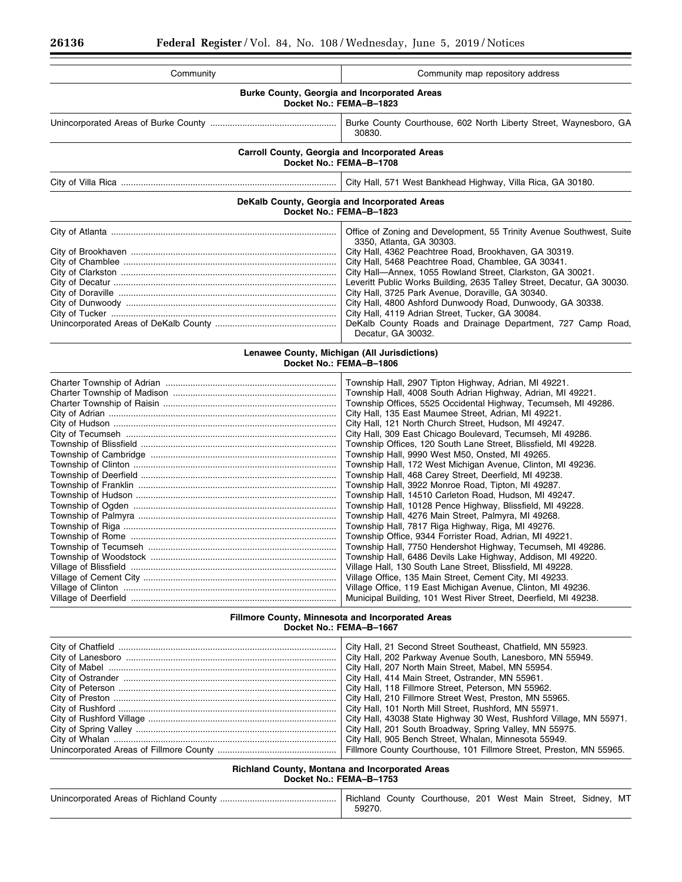| Community                                                                      | Community map repository address                                                                                                                                                                                                                                                                                                                                                                                                                                                                                                                                                                                                                                                                                                                                                                                                                                                                                                                                                                                                                                                                                                                                                                                                                                                                                                                                                                                                                |
|--------------------------------------------------------------------------------|-------------------------------------------------------------------------------------------------------------------------------------------------------------------------------------------------------------------------------------------------------------------------------------------------------------------------------------------------------------------------------------------------------------------------------------------------------------------------------------------------------------------------------------------------------------------------------------------------------------------------------------------------------------------------------------------------------------------------------------------------------------------------------------------------------------------------------------------------------------------------------------------------------------------------------------------------------------------------------------------------------------------------------------------------------------------------------------------------------------------------------------------------------------------------------------------------------------------------------------------------------------------------------------------------------------------------------------------------------------------------------------------------------------------------------------------------|
| <b>Burke County, Georgia and Incorporated Areas</b><br>Docket No.: FEMA-B-1823 |                                                                                                                                                                                                                                                                                                                                                                                                                                                                                                                                                                                                                                                                                                                                                                                                                                                                                                                                                                                                                                                                                                                                                                                                                                                                                                                                                                                                                                                 |
|                                                                                | Burke County Courthouse, 602 North Liberty Street, Waynesboro, GA<br>30830.                                                                                                                                                                                                                                                                                                                                                                                                                                                                                                                                                                                                                                                                                                                                                                                                                                                                                                                                                                                                                                                                                                                                                                                                                                                                                                                                                                     |
| Carroll County, Georgia and Incorporated Areas<br>Docket No.: FEMA-B-1708      |                                                                                                                                                                                                                                                                                                                                                                                                                                                                                                                                                                                                                                                                                                                                                                                                                                                                                                                                                                                                                                                                                                                                                                                                                                                                                                                                                                                                                                                 |
|                                                                                | City Hall, 571 West Bankhead Highway, Villa Rica, GA 30180.                                                                                                                                                                                                                                                                                                                                                                                                                                                                                                                                                                                                                                                                                                                                                                                                                                                                                                                                                                                                                                                                                                                                                                                                                                                                                                                                                                                     |
|                                                                                | DeKalb County, Georgia and Incorporated Areas<br>Docket No.: FEMA-B-1823                                                                                                                                                                                                                                                                                                                                                                                                                                                                                                                                                                                                                                                                                                                                                                                                                                                                                                                                                                                                                                                                                                                                                                                                                                                                                                                                                                        |
|                                                                                | Office of Zoning and Development, 55 Trinity Avenue Southwest, Suite<br>3350, Atlanta, GA 30303.<br>City Hall, 4362 Peachtree Road, Brookhaven, GA 30319.<br>City Hall, 5468 Peachtree Road, Chamblee, GA 30341.<br>City Hall-Annex, 1055 Rowland Street, Clarkston, GA 30021.<br>Leveritt Public Works Building, 2635 Talley Street, Decatur, GA 30030.<br>City Hall, 3725 Park Avenue, Doraville, GA 30340.<br>City Hall, 4800 Ashford Dunwoody Road, Dunwoody, GA 30338.<br>City Hall, 4119 Adrian Street, Tucker, GA 30084.<br>DeKalb County Roads and Drainage Department, 727 Camp Road,<br>Decatur, GA 30032.                                                                                                                                                                                                                                                                                                                                                                                                                                                                                                                                                                                                                                                                                                                                                                                                                            |
|                                                                                | Lenawee County, Michigan (All Jurisdictions)<br>Docket No.: FEMA-B-1806                                                                                                                                                                                                                                                                                                                                                                                                                                                                                                                                                                                                                                                                                                                                                                                                                                                                                                                                                                                                                                                                                                                                                                                                                                                                                                                                                                         |
|                                                                                | Township Hall, 2907 Tipton Highway, Adrian, MI 49221.<br>Township Hall, 4008 South Adrian Highway, Adrian, MI 49221.<br>Township Offices, 5525 Occidental Highway, Tecumseh, MI 49286.<br>City Hall, 135 East Maumee Street, Adrian, MI 49221.<br>City Hall, 121 North Church Street, Hudson, MI 49247.<br>City Hall, 309 East Chicago Boulevard, Tecumseh, MI 49286.<br>Township Offices, 120 South Lane Street, Blissfield, MI 49228.<br>Township Hall, 9990 West M50, Onsted, MI 49265.<br>Township Hall, 172 West Michigan Avenue, Clinton, MI 49236.<br>Township Hall, 468 Carey Street, Deerfield, MI 49238.<br>Township Hall, 3922 Monroe Road, Tipton, MI 49287.<br>Township Hall, 14510 Carleton Road, Hudson, MI 49247.<br>Township Hall, 10128 Pence Highway, Blissfield, MI 49228.<br>Township Hall, 4276 Main Street, Palmyra, MI 49268.<br>Township Hall, 7817 Riga Highway, Riga, MI 49276.<br>Township Office, 9344 Forrister Road, Adrian, MI 49221.<br>Township Hall, 7750 Hendershot Highway, Tecumseh, MI 49286.<br>Township Hall, 6486 Devils Lake Highway, Addison, MI 49220.<br>Village Hall, 130 South Lane Street, Blissfield, MI 49228.<br>Village Office, 135 Main Street, Cement City, MI 49233.<br>Village Office, 119 East Michigan Avenue, Clinton, MI 49236.<br>Municipal Building, 101 West River Street, Deerfield, MI 49238.<br>Fillmore County, Minnesota and Incorporated Areas<br>Docket No.: FEMA-B-1667 |
| City of Mabel ……………………………………………………………………………                                    | City Hall, 21 Second Street Southeast, Chatfield, MN 55923.<br>City Hall, 202 Parkway Avenue South, Lanesboro, MN 55949.<br>City Hall, 207 North Main Street, Mabel, MN 55954.<br>City Hall, 414 Main Street, Ostrander, MN 55961.                                                                                                                                                                                                                                                                                                                                                                                                                                                                                                                                                                                                                                                                                                                                                                                                                                                                                                                                                                                                                                                                                                                                                                                                              |

City of Peterson ........................................................................................ City Hall, 118 Fillmore Street, Peterson, MN 55962. City of Preston .......................................................................................... City Hall, 210 Fillmore Street West, Preston, MN 55965.

Unincorporated Areas of Fillmore County ................................................ Fillmore County Courthouse, 101 Fillmore Street, Preston, MN 55965.

City of Rushford Village ............................................................................ City Hall, 43038 State Highway 30 West, Rushford Village, MN 55971. City of Spring Valley ................................................................................. City Hall, 201 South Broadway, Spring Valley, MN 55975.

City of Rushford ........................................................................................ City Hall, 101 North Mill Street, Rushford, MN 55971.

City of Whalan .......................................................................................... City Hall, 905 Bench Street, Whalan, Minnesota 55949.

**Richland County, Montana and Incorporated Areas Docket No.: FEMA–B–1753**  Unincorporated Areas of Richland County ............................................... Richland County Courthouse, 201 West Main Street, Sidney, MT

59270.